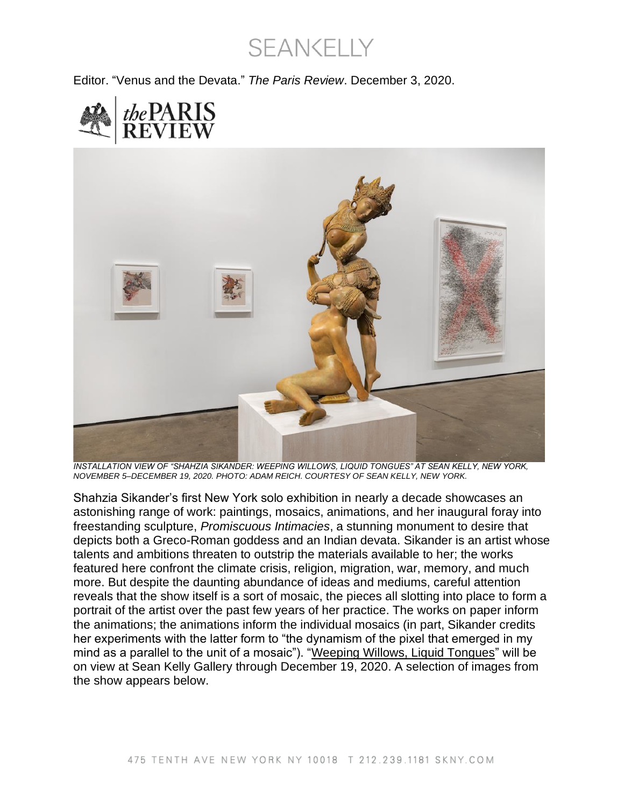**SEANKELLY** 

Editor. "Venus and the Devata." *The Paris Review*. December 3, 2020.





*INSTALLATION VIEW OF "SHAHZIA SIKANDER: WEEPING WILLOWS, LIQUID TONGUES" AT SEAN KELLY, NEW YORK, NOVEMBER 5–DECEMBER 19, 2020. PHOTO: ADAM REICH. COURTESY OF SEAN KELLY, NEW YORK.*

Shahzia Sikander's first New York solo exhibition in nearly a decade showcases an astonishing range of work: paintings, mosaics, animations, and her inaugural foray into freestanding sculpture, *Promiscuous Intimacies*, a stunning monument to desire that depicts both a Greco-Roman goddess and an Indian devata. Sikander is an artist whose talents and ambitions threaten to outstrip the materials available to her; the works featured here confront the climate crisis, religion, migration, war, memory, and much more. But despite the daunting abundance of ideas and mediums, careful attention reveals that the show itself is a sort of mosaic, the pieces all slotting into place to form a portrait of the artist over the past few years of her practice. The works on paper inform the animations; the animations inform the individual mosaics (in part, Sikander credits her experiments with the latter form to "the dynamism of the pixel that emerged in my mind as a parallel to the unit of a mosaic"). ["Weeping Willows, Liquid Tongues"](https://seankelly-viewingroom.exhibit-e.art/viewing-room/shahzia-sikander-weeping-willows-liquid-tongues) will be on view at Sean Kelly Gallery through December 19, 2020. A selection of images from the show appears below.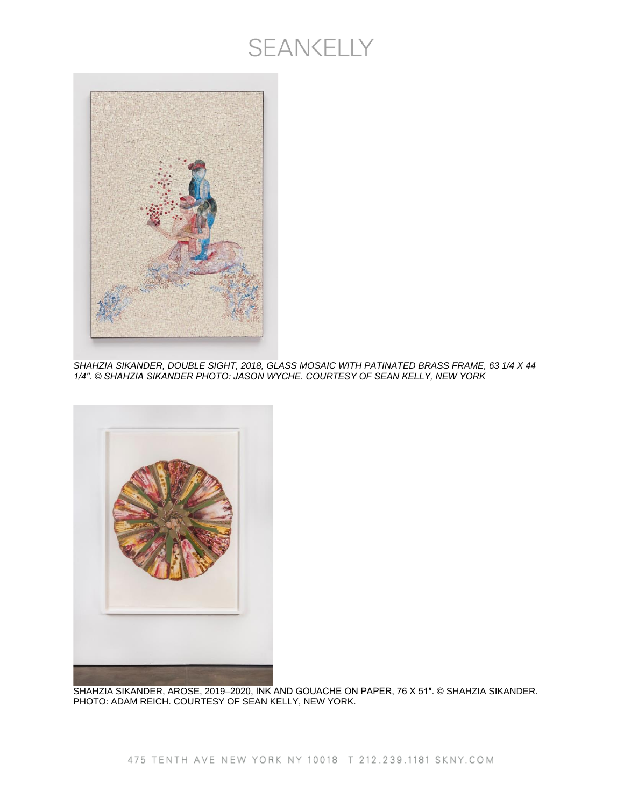

*SHAHZIA SIKANDER, DOUBLE SIGHT, 2018, GLASS MOSAIC WITH PATINATED BRASS FRAME, 63 1/4 X 44 1/4″. © SHAHZIA SIKANDER PHOTO: JASON WYCHE. COURTESY OF SEAN KELLY, NEW YORK*



SHAHZIA SIKANDER, AROSE, 2019–2020, INK AND GOUACHE ON PAPER, 76 X 51″. © SHAHZIA SIKANDER. PHOTO: ADAM REICH. COURTESY OF SEAN KELLY, NEW YORK.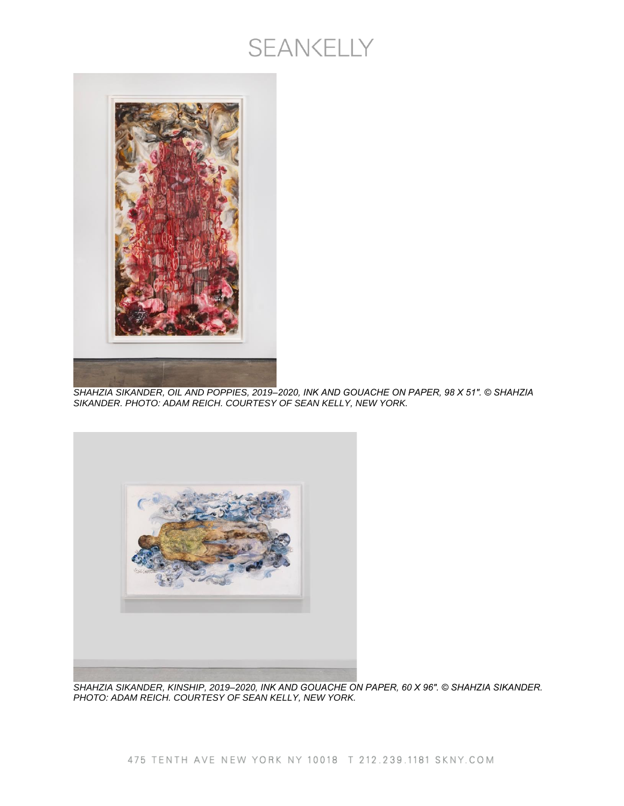

*SHAHZIA SIKANDER, OIL AND POPPIES, 2019–2020, INK AND GOUACHE ON PAPER, 98 X 51″. © SHAHZIA SIKANDER. PHOTO: ADAM REICH. COURTESY OF SEAN KELLY, NEW YORK.*



*SHAHZIA SIKANDER, KINSHIP, 2019–2020, INK AND GOUACHE ON PAPER, 60 X 96″. © SHAHZIA SIKANDER. PHOTO: ADAM REICH. COURTESY OF SEAN KELLY, NEW YORK.*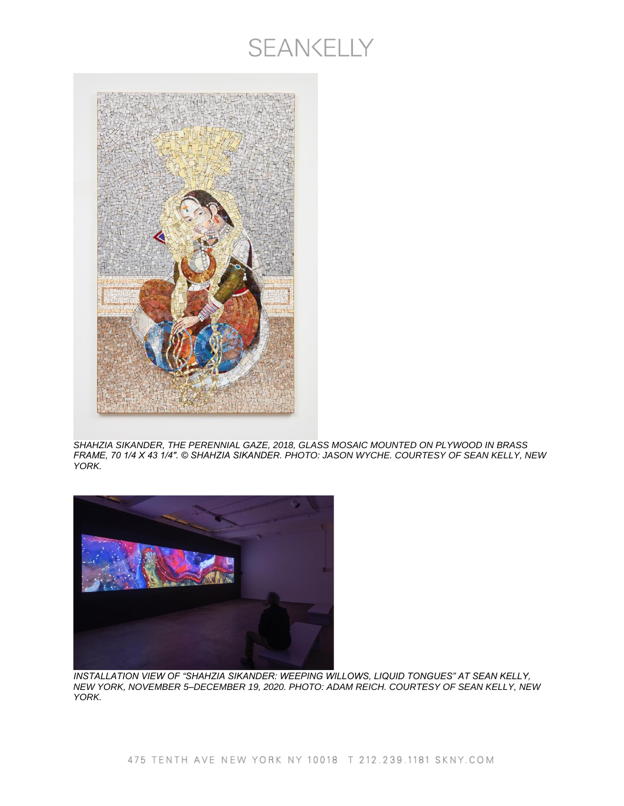

*SHAHZIA SIKANDER, THE PERENNIAL GAZE, 2018, GLASS MOSAIC MOUNTED ON PLYWOOD IN BRASS FRAME, 70 1/4 X 43 1/4″. © SHAHZIA SIKANDER. PHOTO: JASON WYCHE. COURTESY OF SEAN KELLY, NEW YORK.*



*INSTALLATION VIEW OF "SHAHZIA SIKANDER: WEEPING WILLOWS, LIQUID TONGUES" AT SEAN KELLY, NEW YORK, NOVEMBER 5–DECEMBER 19, 2020. PHOTO: ADAM REICH. COURTESY OF SEAN KELLY, NEW YORK.*